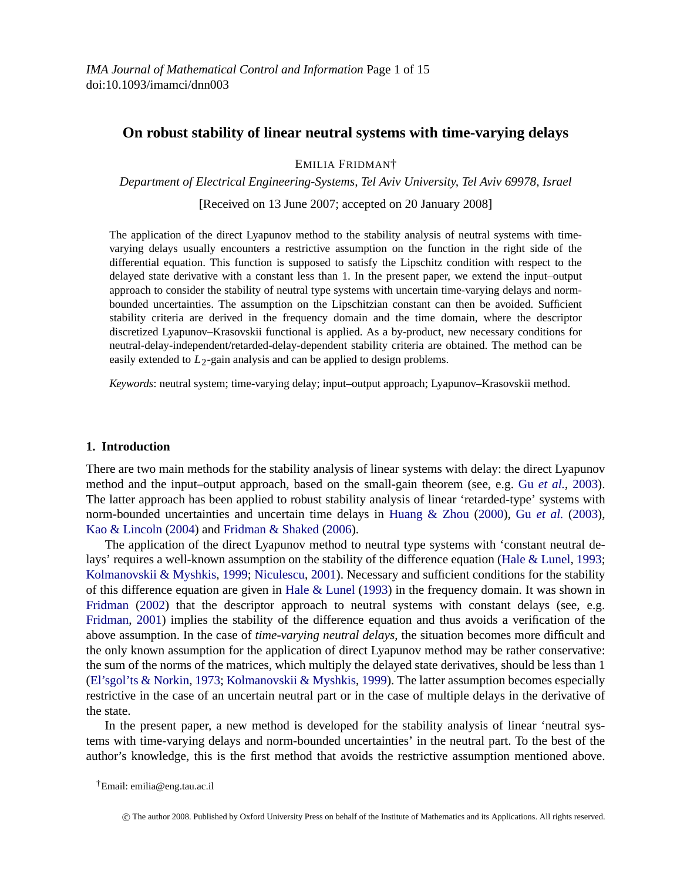*IMA Journal of Mathematical Control and Information* Page 1 of 15 doi:10.1093/imamci/dnn003

# **On robust stability of linear neutral systems with time-varying delays**

# EMILIA FRIDMAN†

*Department of Electrical Engineering-Systems, Tel Aviv University, Tel Aviv 69978, Israel*

[Received on 13 June 2007; accepted on 20 January 2008]

The application of the direct Lyapunov method to the stability analysis of neutral systems with timevarying delays usually encounters a restrictive assumption on the function in the right side of the differential equation. This function is supposed to satisfy the Lipschitz condition with respect to the delayed state derivative with a constant less than 1. In the present paper, we extend the input–output approach to consider the stability of neutral type systems with uncertain time-varying delays and normbounded uncertainties. The assumption on the Lipschitzian constant can then be avoided. Sufficient stability criteria are derived in the frequency domain and the time domain, where the descriptor discretized Lyapunov–Krasovskii functional is applied. As a by-product, new necessary conditions for neutral-delay-independent/retarded-delay-dependent stability criteria are obtained. The method can be easily extended to  $L_2$ -gain analysis and can be applied to design problems.

*Keywords*: neutral system; time-varying delay; input–output approach; Lyapunov–Krasovskii method.

#### **[1.](#page-14-0) [Introduction](#page-14-0)**

There are two main methods for the sta[bility analysis](#page-13-0) [of line](#page-13-0)ar systems with delay: the direct Lyapunov [method and the](#page-13-0) input–output approach, based on the small-gain theorem (see, e.g. Gu *et al.*, 2003). [The latte](#page-13-0)r [appro](#page-13-0)ach has been applied to robust stability analysis of linear 'retarded-type' systems with norm-bounded uncertainties and uncertain time delays in Huang & Zhou (2000), Gu *et al.* (2003), Kao & Lincoln (2004) and Fridman & Shaked (2006).

The application of the direct Lyapunov method to neutral type systems with 'constant neutral del[ays' requires a well-known](#page-13-0) [assumption on the stability of th](#page-14-0)e difference equation (Hale & Lunel, 1993; Kolmanovskii & Myshkis, 1999; Niculescu, 2001). Necessary and sufficient conditions for the stability of this difference equation are given in Hale & Lunel (1993) in the frequency domain. It was shown in Fridman (2002) that the descriptor approach to neutral systems with constant delays (see, e.g. Fridman, 2001) implies the stability of the difference equation and thus avoids a verification of the above assumption. In the case of *time-varying neutral delays*, the situation becomes more difficult and the only known assumption for the application of direct Lyapunov method may be rather conservative: the sum of the norms of the matrices, which multiply the delayed state derivatives, should be less than 1 (El'sgol'ts & Norkin, 1973; Kolmanovskii & Myshkis, 1999). The latter assumption becomes especially restrictive in the case of an uncertain neutral part or in the case of multiple delays in the derivative of the state.

In the present paper, a new method is developed for the stability analysis of linear 'neutral systems with time-varying delays and norm-bounded uncertainties' in the neutral part. To the best of the author's knowledge, this is the first method that avoids the restrictive assumption mentioned above.

†Email: emilia@eng.tau.ac.il

c The author 2008. Published by Oxford University Press on behalf of the Institute of Mathematics and its Applications. All rights reserved.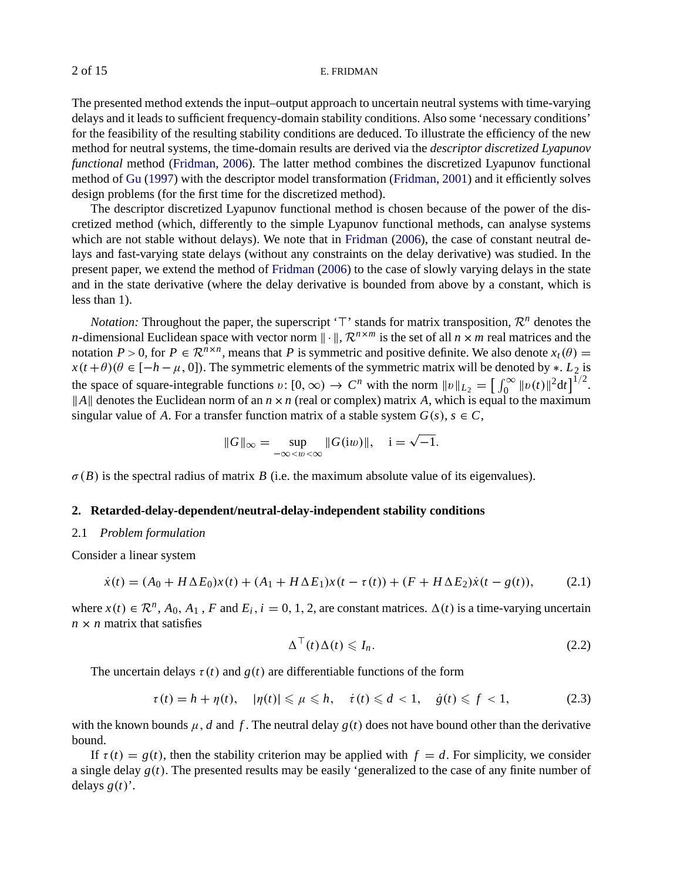The presented method extends the input–output approach to uncertain neutral systems with time-varying delays and it leads to sufficient frequency-domain stab[ility cond](#page-13-0)i[tions.](#page-13-0) Also some 'necessary conditions' for the feasibility of the resulting stability conditions are deduced. To illustrate the efficiency of the new method for neutral systems, the time-do[main results are](#page-13-0) derived via the *descriptor discretized Lyapunov functional* method (Fridman, 2006). The latter method combines the discretized Lyapunov functional method of Gu (1997) with the descriptor model transformation (Fridman, 2001) and it efficiently solves design problems (for the first time for the discretized method).

The descriptor discretized Lyapunov functional method is chosen because of the power of the discretized method (which, differently to the simple Lyapunov functional methods, can analyse systems which are not stable without delays). We note that in Fridman (2006), the case of constant neutral delays and fast-varying state delays (without any constraints on the delay derivative) was studied. In the present paper, we extend the method of Fridman (2006) to the case of slowly varying delays in the state and in the state derivative (where the delay derivative is bounded from above by a constant, which is less than 1).

*Notation:* Throughout the paper, the superscript ' $\top$ ' stands for matrix transposition,  $\mathcal{R}^n$  denotes the *n*-dimensional Euclidean space with vector norm  $\|\cdot\|$ ,  $\mathcal{R}^{n \times m}$  is the set of all  $n \times m$  real matrices and the notation  $P > 0$ , for  $P \in \mathbb{R}^{n \times n}$ , means that P is symmetric and positive definite. We also denote  $x_t(\theta) =$  $x(t+\theta)(\theta \in [-h-\mu, 0])$ . The symmetric elements of the symmetric matrix will be denoted by \*. *L*<sub>2</sub> is the space of square-integrable functions  $v: [0, \infty) \to C^n$  with the norm  $||v||_{L_2} = \left[\int_0^\infty ||v(t)||^2 dt\right]^{1/2}$ .  $||A||$  denotes the Euclidean norm of an  $n \times n$  (real or complex) matrix *A*, which is equal to the maximum singular value of *A*. For a transfer function matrix of a stable system  $G(s)$ ,  $s \in C$ ,

$$
||G||_{\infty} = \sup_{-\infty < w < \infty} ||G(iw)||, \quad i = \sqrt{-1}.
$$

 $\sigma(B)$  is the spectral radius of matrix *B* (i.e. the maximum absolute value of its eigenvalues).

#### **2. Retarded-delay-dependent/neutral-delay-independent stability conditions**

#### 2.1 *Problem formulation*

Consider a linear system

$$
\dot{x}(t) = (A_0 + H\Delta E_0)x(t) + (A_1 + H\Delta E_1)x(t - \tau(t)) + (F + H\Delta E_2)\dot{x}(t - g(t)),\tag{2.1}
$$

where  $x(t) \in \mathbb{R}^n$ ,  $A_0$ ,  $A_1$ ,  $F$  and  $E_i$ ,  $i = 0, 1, 2$ , are constant matrices.  $\Delta(t)$  is a time-varying uncertain  $n \times n$  matrix that satisfies

$$
\Delta^+(t)\Delta(t) \leqslant I_n. \tag{2.2}
$$

The uncertain delays  $\tau(t)$  and  $g(t)$  are differentiable functions of the form

$$
\tau(t) = h + \eta(t), \quad |\eta(t)| \le \mu \le h, \quad \dot{\tau}(t) \le d < 1, \quad \dot{g}(t) \le f < 1,\tag{2.3}
$$

with the known bounds  $\mu$ , *d* and *f*. The neutral delay  $g(t)$  does not have bound other than the derivative bound.

If  $\tau(t) = g(t)$ , then the stability criterion may be applied with  $f = d$ . For simplicity, we consider a single delay *g*(*t*). The presented results may be easily 'generalized to the case of any finite number of delays  $g(t)$ <sup>'</sup>.

<span id="page-1-0"></span>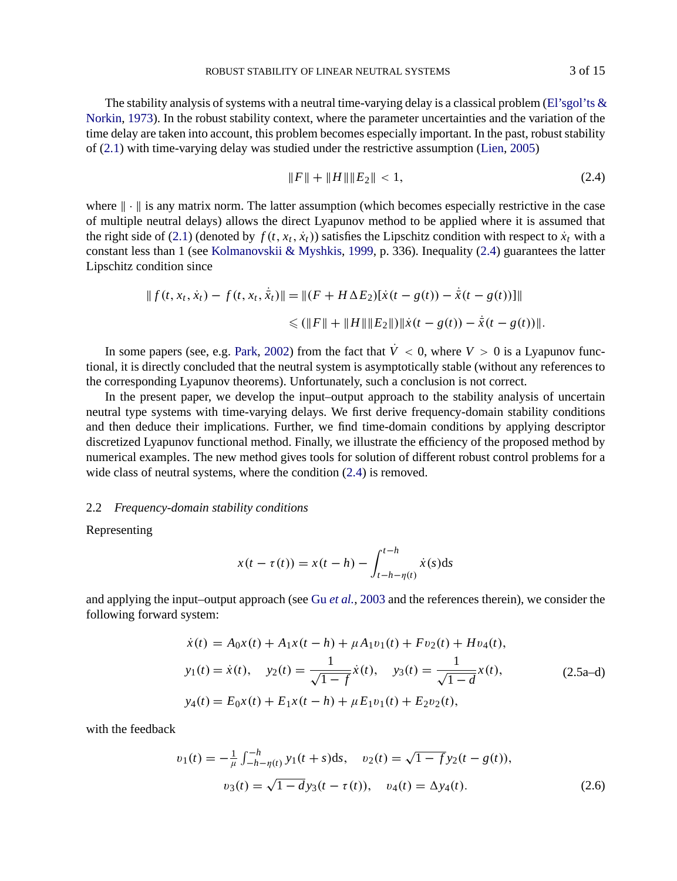The stability analysis of systems with a neutral time-varying delay is a classical problem (El'sgol'ts  $\&$ Norkin, 1973). I[n the](#page-1-0) robust stability context, where the parameter uncertainties and the variation of the time delay are taken into [account, this problem becomes es](#page-14-0)pecially important. In the past, robust stability of (2.1) with time-varying delay was studied under the restrictive assumption (Lien, 2005)

$$
||F|| + ||H|| ||E_2|| < 1,
$$
\n(2.4)

where  $\|\cdot\|$  is any matrix norm. The latter assumption (which becomes especially restrictive in the case of multiple neutral delays) allows the direct Lyapunov method to be applied where it is assumed that the right si[d](#page-14-0)e of (2.1) (denoted [by](#page-14-0)  $f(t, x_t, \dot{x}_t)$ ) satisfies the Lipschitz condition with respect to  $\dot{x}_t$  with a constant less than 1 (see Kolmanovskii & Myshkis, 1999, p. 336). Inequality (2.4) guarantees the latter Lipschitz condition since

$$
|| f(t, x_t, \dot{x}_t) - f(t, x_t, \dot{\bar{x}}_t) || = || (F + H \Delta E_2) [\dot{x}(t - g(t)) - \dot{\bar{x}}(t - g(t))]||
$$
  

$$
\leq (||F|| + ||H|| ||E_2||) ||\dot{x}(t - g(t)) - \dot{\bar{x}}(t - g(t))||.
$$

In some papers (see, e.g. Park, 2002) from the fact that  $\dot{V}$  < 0, where  $V > 0$  is a Lyapunov functional, it is directly concluded that the neutral system is asymptotically stable (without any references to the corresponding Lyapunov theorems). Unfortunately, such a conclusion is not correct.

In the present paper, we develop the input–output approach to the stability analysis of uncertain neutral type systems with time-varying delays. We first derive frequency-domain stability conditions and then deduce their implications. Further, we find time-domain conditions by applying descriptor discretized Lyapunov functional method. Finally, we illustrate the efficiency of the proposed method by numerical examples. The new method gives tools for solution of different robust control problems for a wide class of neutral systems, where the con[dition \(2.4\) is r](#page-13-0)emoved.

### 2.2 *Frequency-domain stability conditions*

Representing

$$
x(t - \tau(t)) = x(t - h) - \int_{t - h - \eta(t)}^{t - h} \dot{x}(s) \, \mathrm{d}s
$$

and applying the input–output approach (see Gu *et al.*, 2003 and the references therein), we consider the following forward system:

$$
\dot{x}(t) = A_0 x(t) + A_1 x(t - h) + \mu A_1 v_1(t) + F v_2(t) + H v_4(t),
$$
  
\n
$$
y_1(t) = \dot{x}(t), \quad y_2(t) = \frac{1}{\sqrt{1 - f}} \dot{x}(t), \quad y_3(t) = \frac{1}{\sqrt{1 - d}} x(t),
$$
  
\n
$$
y_4(t) = E_0 x(t) + E_1 x(t - h) + \mu E_1 v_1(t) + E_2 v_2(t),
$$
\n(2.5a-d)

with the feedback

$$
v_1(t) = -\frac{1}{\mu} \int_{-h-\eta(t)}^{-h} y_1(t+s) ds, \quad v_2(t) = \sqrt{1-f} y_2(t-g(t)),
$$
  

$$
v_3(t) = \sqrt{1-d} y_3(t-\tau(t)), \quad v_4(t) = \Delta y_4(t).
$$
 (2.6)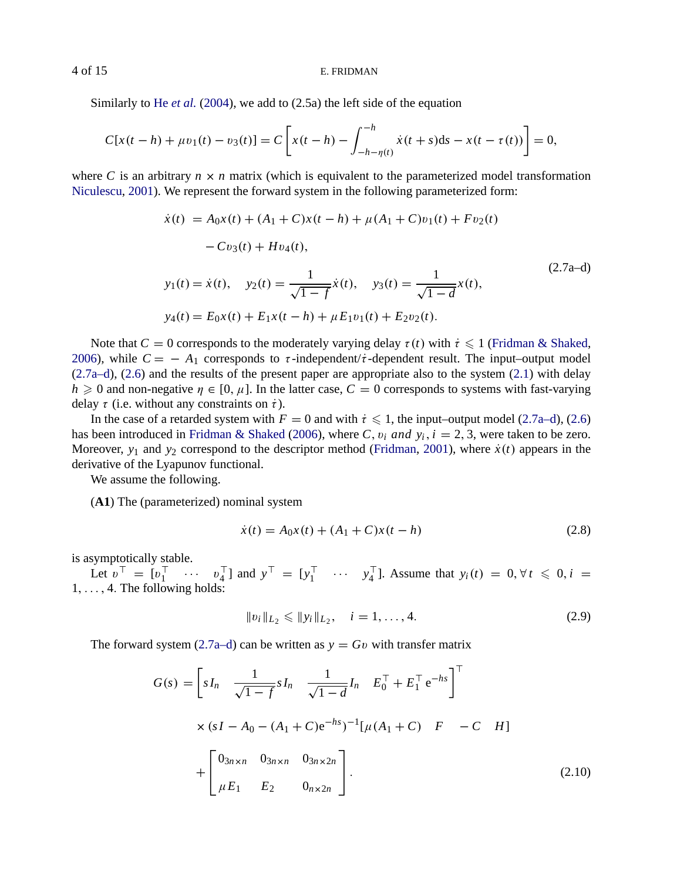Similarly to He *et al.* (2004), we add to (2.5a) the left side of the equation

$$
C[x(t-h) + \mu v_1(t) - v_3(t)] = C\left[x(t-h) - \int_{-h-\eta(t)}^{-h} \dot{x}(t+s)ds - x(t-\tau(t))\right] = 0,
$$

where *C* is an arbitrary  $n \times n$  matrix (which is equivalent to the parameterized model transformation Niculescu, 2001). We represent the forward system in the following parameterized form:

$$
\dot{x}(t) = A_0 x(t) + (A_1 + C)x(t - h) + \mu(A_1 + C)v_1(t) + Fv_2(t)
$$
  
\n
$$
- Cv_3(t) + Hv_4(t),
$$
  
\n
$$
y_1(t) = \dot{x}(t), \quad y_2(t) = \frac{1}{\sqrt{1 - f}} \dot{x}(t), \quad y_3(t) = \frac{1}{\sqrt{1 - d}} x(t),
$$
  
\n
$$
y_4(t) = E_0 x(t) + E_1 x(t - h) + \mu E_1 v_1(t) + E_2 v_2(t).
$$
\n(2.7a-d)

Note that  $C = 0$  corresponds to the moderately varying delay  $\tau(t)$  with  $\tau \leq 1$  (Fridman & Shaked, 2006), while  $C = -A_1$  corresponds to  $\tau$ -independent/ $\dot{\tau}$ -dependent result. The input–output model (2.7a–d), (2.6) and the results of the present paper are appropriate also to the system (2.1) with delay  $h \ge 0$  and non-negative  $\eta \in [0, \mu]$ . In the latter case,  $C = 0$  corresponds to systems with fast-varying delay  $\tau$  (i.e. without any constraints on  $\dot{\tau}$ ).

In the case of a retarded system with  $F = 0$  and with  $\dot{\tau} \leq 1$ , the input–output model (2.7a–d), (2.6) has been introduced in Fridman & Shaked (2006), where *C*,  $v_i$  *and*  $y_i$ ,  $i = 2, 3$ , were taken to be zero. Moreover,  $y_1$  and  $y_2$  correspond to the descriptor method (Fridman, 2001), where  $\dot{x}(t)$  appears in the derivative of the Lyapunov functional.

We assume the following.

(**A1**) The (parameterized) nominal system

$$
\dot{x}(t) = A_0 x(t) + (A_1 + C)x(t - h)
$$
\n(2.8)

is asymptotically stable.

Let  $v^{\perp} = [v_1^{\perp} \cdots v_4^{\perp}]$  and  $y^{\perp} = [y_1^{\perp} \cdots y_4^{\perp}]$ . Assume that  $y_i(t) = 0, \forall t \le 0, i =$ 1, . . . , 4. The following holds:

$$
||v_i||_{L_2} \le ||y_i||_{L_2}, \quad i = 1, ..., 4.
$$
 (2.9)

The forward system (2.7a–d) can be written as  $y = Gv$  with transfer matrix

$$
G(s) = \left[ sI_n \frac{1}{\sqrt{1-f}} sI_n \frac{1}{\sqrt{1-d}} I_n E_0^{\top} + E_1^{\top} e^{-hs} \right]^{\top}
$$
  
 
$$
\times (sI - A_0 - (A_1 + C)e^{-hs})^{-1} [\mu(A_1 + C) F - C H]
$$
  
+ 
$$
\left[ \begin{array}{ccc} 0_{3n \times n} & 0_{3n \times n} & 0_{3n \times 2n} \\ \mu E_1 & E_2 & 0_{n \times 2n} \end{array} \right].
$$
 (2.10)

<span id="page-3-0"></span>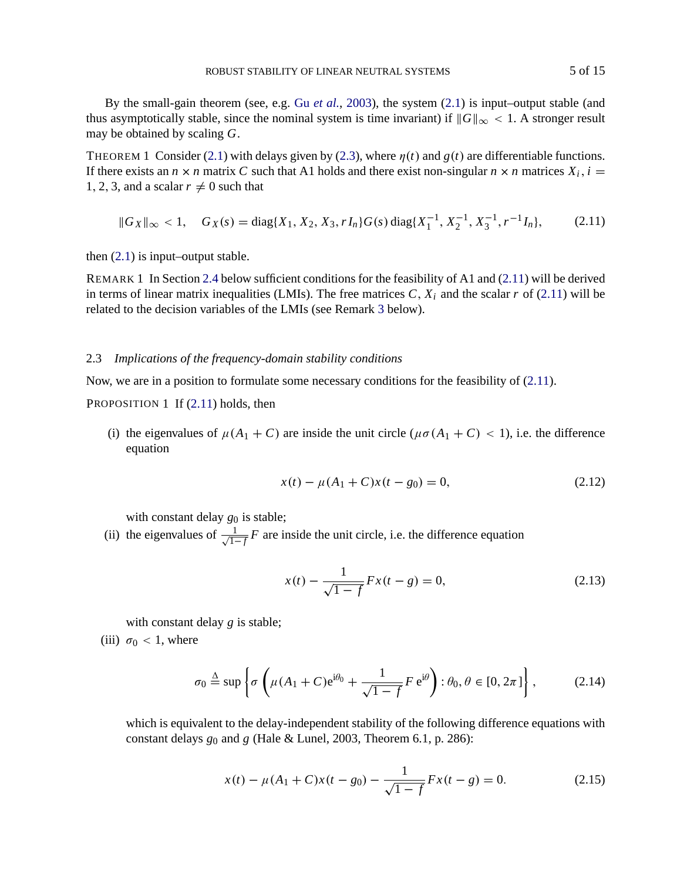<span id="page-4-0"></span>By the small-gain theorem (see, e.g. Gu *et al.*, 2003), the system (2.1) is input–output stable (and thus asymptotically stable, since the nominal system is time invariant) if  $||G||_{\infty} < 1$ . A stronger result may [be o](#page-1-0)btained by scaling *G*.

THEOREM 1 Consider [\(2.1](#page-6-0)) with delays given by (2.3), where  $\eta(t)$  and  $g(t)$  are differentiable functions. If there exists an  $n \times n$  matrix *C* such that A1 holds and there exist non-singular  $n \times n$  matrices  $X_i$ ,  $i =$ 1, 2, 3, and a scalar  $r \neq 0$  such that

$$
||G_X||_{\infty} < 1, \quad G_X(s) = \text{diag}\{X_1, X_2, X_3, rI_n\}G(s)\,\text{diag}\{X_1^{-1}, X_2^{-1}, X_3^{-1}, r^{-1}I_n\},\tag{2.11}
$$

then  $(2.1)$  is input–output stable.

REMARK 1 In Section 2.4 below sufficient conditions for the feasibility of A1 and (2.11) will be derived in terms of linear matrix inequalities (LMIs). The free matrices  $C$ ,  $X_i$  and the scalar  $r$  of (2.11) will be related to the decision variables of the LMIs (see Remark 3 below).

## 2.3 *Implications of the frequency-domain stability conditions*

Now, we are in a position to formulate some necessary conditions for the feasibility of (2.11).

PROPOSITION 1 If  $(2.11)$  holds, then

(i) the eigenvalues of  $\mu(A_1 + C)$  are inside the unit circle  $(\mu \sigma(A_1 + C) < 1)$ , i.e. the difference equation

$$
x(t) - \mu(A_1 + C)x(t - g_0) = 0,
$$
\n(2.12)

with constant delay  $g_0$  is stable;

(ii) the eigenvalues of  $\frac{1}{\sqrt{1-f}}F$  are inside the unit circle, i.e. the difference equation

$$
x(t) - \frac{1}{\sqrt{1 - f}} Fx(t - g) = 0,
$$
\n(2.13)

with constant delay *g* is stable;

(iii)  $\sigma_0$  < 1, where

$$
\sigma_0 \stackrel{\Delta}{=} \sup \left\{ \sigma \left( \mu (A_1 + C) e^{i\theta_0} + \frac{1}{\sqrt{1 - f}} F e^{i\theta} \right) : \theta_0, \theta \in [0, 2\pi] \right\},\tag{2.14}
$$

which is equivalent to the delay-independent stability of the following difference equations with constant delays *g*<sup>0</sup> and *g* (Hale & Lunel, 2003, Theorem 6.1, p. 286):

$$
x(t) - \mu(A_1 + C)x(t - g_0) - \frac{1}{\sqrt{1 - f}}Fx(t - g) = 0.
$$
 (2.15)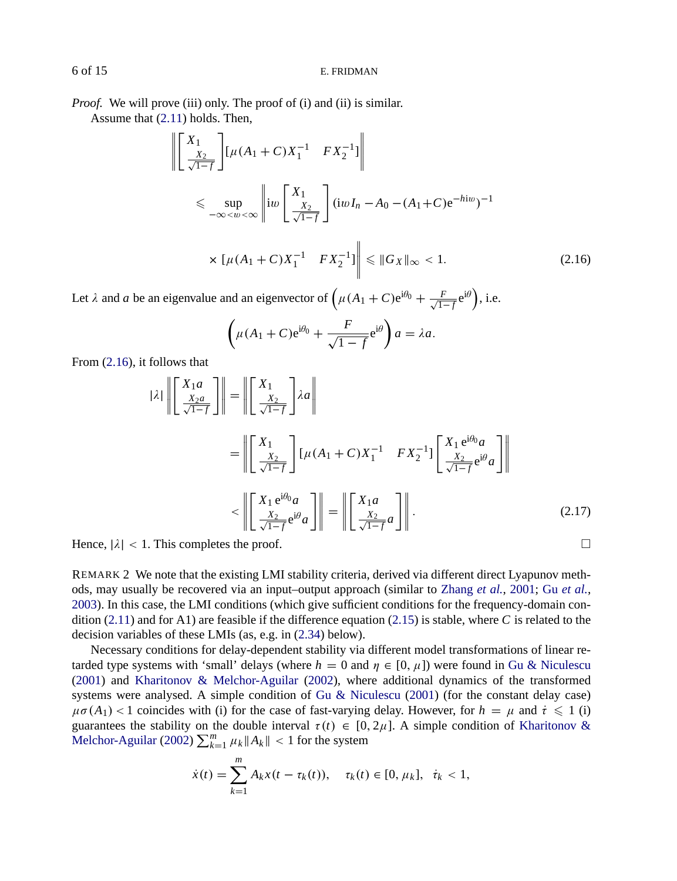*Proof.* We will prove (iii) only. The proof of (i) and (ii) is similar. Assume that (2.11) holds. Then,

$$
\left\| \begin{bmatrix} X_1 \\ \frac{X_2}{\sqrt{1-f}} \end{bmatrix} [\mu(A_1 + C)X_1^{-1} \quad FX_2^{-1}] \right\|
$$
  
\$\leq \sup\_{-\infty < w < \infty} \left\| iw \left[ \frac{X\_1}{\frac{X\_2}{\sqrt{1-f}}} \right] (iwI\_n - A\_0 - (A\_1 + C)e^{-hi\omega})^{-1}\$  
\$\times [\mu(A\_1 + C)X\_1^{-1} \quad FX\_2^{-1}] \right\| \leq ||G\_X||\_{\infty} < 1\$. \tag{2.16}

Let  $\lambda$  and  $a$  be an eigenvalue and an eigenvector of  $(\mu(A_1 + C)e^{i\theta_0} + \frac{F}{\sqrt{1-f}}e^{i\theta}),$  i.e.

$$
\left(\mu(A_1+C)e^{i\theta_0}+\frac{F}{\sqrt{1-f}}e^{i\theta}\right)a=\lambda a.
$$

From (2.16), it follows that

$$
|\lambda| \left\| \begin{bmatrix} X_{1}a \\ \frac{X_{2}a}{\sqrt{1-f}} \end{bmatrix} \right\| = \left\| \begin{bmatrix} X_{1} \\ \frac{X_{2}}{\sqrt{1-f}} \end{bmatrix} \lambda a \right\|
$$
  

$$
= \left\| \begin{bmatrix} X_{1} \\ \frac{X_{2}}{\sqrt{1-f}} \end{bmatrix} [\mu(A_{1} + C)X_{1}^{-1} \quad FX_{2}^{-1}] \begin{bmatrix} X_{1}e^{i\theta_{0}}a \\ \frac{X_{2}}{\sqrt{1-f}}e^{i\theta_{a}} \end{bmatrix} \right\|
$$
  

$$
< \left\| \begin{bmatrix} X_{1}e^{i\theta_{0}}a \\ \frac{X_{2}}{\sqrt{1-f}}e^{i\theta_{a}} \end{bmatrix} \right\| = \left\| \begin{bmatrix} X_{1}a \\ \frac{X_{2}}{\sqrt{1-f}}a \end{bmatrix} \right\|.
$$
 (2.17)

Hence,  $|\lambda| < 1$ . This completes the proof.

REMARK 2 We note that the existing LMI stabil[ity criteria, derived via d](#page-13-0)ifferent direct Lyapunov methods, may usually be recovered via an input–output approach (similar to Zhang *et al.*, 2001; Gu *et al.*, 2003). In this case, the LMI conditions (which give sufficient conditions for the frequenc[y-domain con](#page-14-0)[dition \(2.11\) and](#page-14-0) f[or A1](#page-14-0)) are feasible if the difference equation (2.15) is stable, where *C* is related to the decision variables of these LMIs (as, e.g. in (2.34) below).

Necessary conditions for delay-dependent stability via different model transformations of linear retarded type systems with 'small' delays (where  $h = 0$  and  $\eta \in [0, \mu]$ ) were found in Gu & Niculescu (2001) and Kharitonov & Melchor-Aguilar (2002), where additional dynamics of the transformed systems were analysed. A simple condition of Gu & Niculescu (2001) (for the constant delay case)  $\mu\sigma(A_1)$  < 1 coincides with (i) for the case of fast-varying delay. However, for  $h = \mu$  and  $\tau \leq 1$  (i) guarantees the stability on the double interval  $\tau(t) \in [0, 2\mu]$ . A simple condition of Kharitonov & Melchor-Aguilar (2002)  $\sum_{k=1}^{m} \mu_k ||A_k|| < 1$  for the system

$$
\dot{x}(t) = \sum_{k=1}^{m} A_k x(t - \tau_k(t)), \quad \tau_k(t) \in [0, \mu_k], \quad \dot{\tau}_k < 1,
$$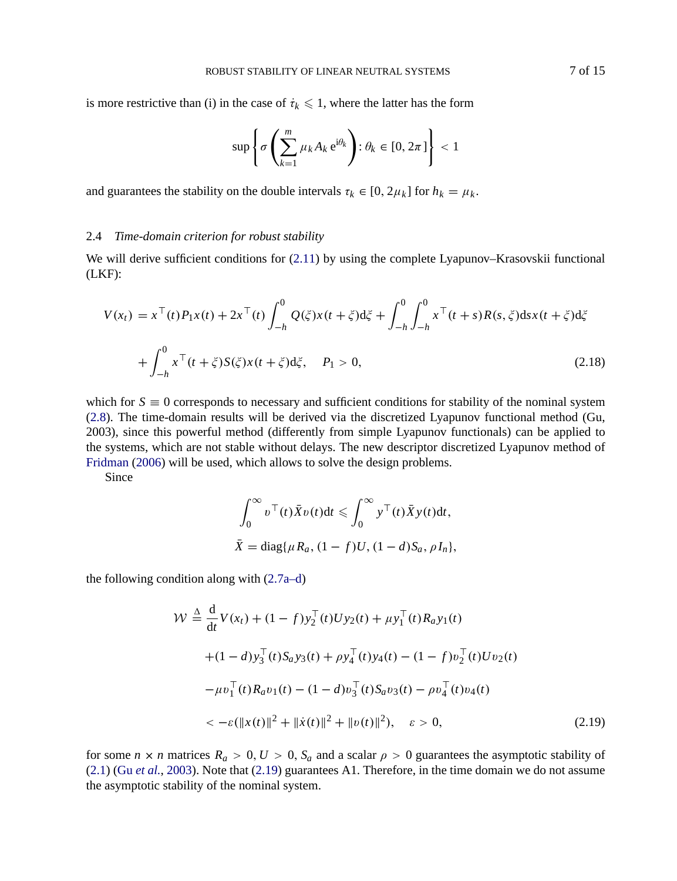<span id="page-6-0"></span>is more restrictive than (i) in the case of  $\dot{\tau}_k \leq 1$ , where the latter has the form

$$
\sup \left\{ \sigma \left( \sum_{k=1}^{m} \mu_k A_k e^{i\theta_k} \right) : \theta_k \in [0, 2\pi] \right\} < 1
$$

and guarantees the stability on the double intervals  $\tau_k \in [0, 2\mu_k]$  for  $h_k = \mu_k$ .

## 2.4 *Time-domain criterion for robust stability*

We will derive sufficient conditions for  $(2.11)$  by using the complete Lyapunov–Krasovskii functional (LKF):

$$
V(x_t) = x^{\top}(t)P_1x(t) + 2x^{\top}(t)\int_{-h}^{0} Q(\xi)x(t+\xi)d\xi + \int_{-h}^{0} \int_{-h}^{0} x^{\top}(t+s)R(s,\xi)dsx(t+\xi)d\xi
$$
  
+ 
$$
\int_{-h}^{0} x^{\top}(t+\xi)S(\xi)x(t+\xi)d\xi, \quad P_1 > 0,
$$
 (2.18)

which for  $S \equiv 0$  corresponds to necessary and sufficient conditions for stability of the nominal system (2.8). The time-domain results will be derived via the discretized Lyapunov functional method (Gu, 2003), since this powerful method (differently from simple Lyapunov functionals) can be applied to the systems, which are not stable without delays. The new descriptor discretized Lyapunov method of Fridman (2006) will be used, which [allows](#page-3-0) to solve the design problems.

Since

$$
\int_0^\infty v^\top(t)\bar{X}v(t)dt \leqslant \int_0^\infty y^\top(t)\bar{X}y(t)dt,
$$
  

$$
\bar{X} = \text{diag}\{\mu R_a, (1-f)U, (1-d)S_a, \rho I_n\},\
$$

the following condition along with (2.7a–d)

$$
\mathcal{W} \stackrel{\Delta}{=} \frac{d}{dt} V(x_t) + (1 - f) y_2^\top(t) U y_2(t) + \mu y_1^\top(t) R_a y_1(t)
$$
  
+ 
$$
(1 - d) y_3^\top(t) S_a y_3(t) + \rho y_4^\top(t) y_4(t) - (1 - f) v_2^\top(t) U v_2(t)
$$
  
- 
$$
\mu v_1^\top(t) R_a v_1(t) - (1 - d) v_3^\top(t) S_a v_3(t) - \rho v_4^\top(t) v_4(t)
$$
  
< 
$$
< -\varepsilon (\|x(t)\|^2 + \| \dot{x}(t) \|^2 + \|v(t) \|^2), \quad \varepsilon > 0,
$$
 (2.19)

for some  $n \times n$  matrices  $R_a > 0, U > 0, S_a$  and a scalar  $\rho > 0$  guarantees the asymptotic stability of (2.1) (Gu *et al.*, 2003). Note that (2.19) guarantees A1. Therefore, in the time domain we do not assume the asymptotic stability of the nominal system.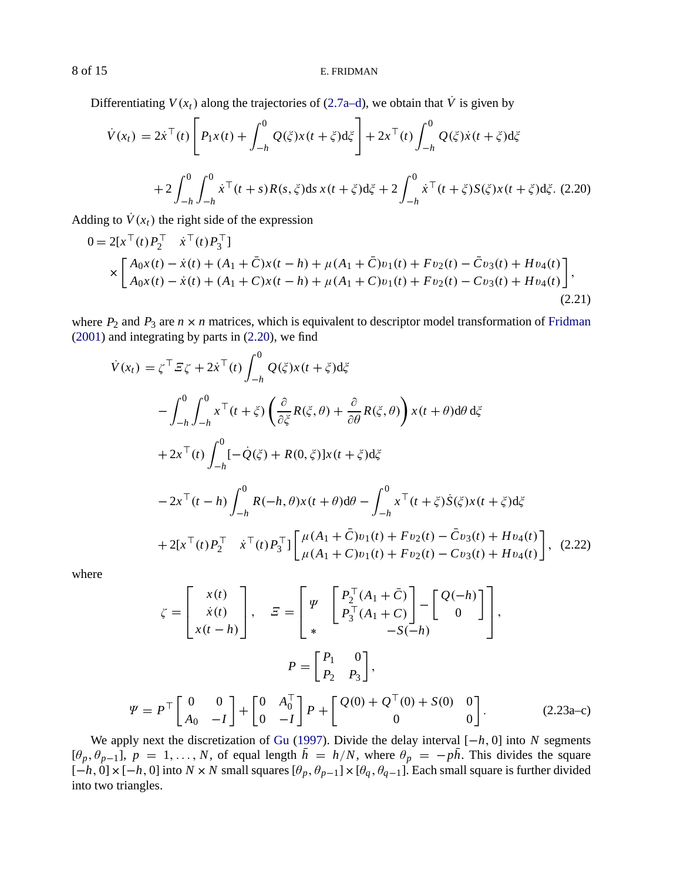Differentiating  $V(x_t)$  along the trajectories of (2.7a–d), we obtain that  $\dot{V}$  is given by

$$
\dot{V}(x_t) = 2\dot{x}^\top(t) \left[ P_1 x(t) + \int_{-h}^0 Q(\xi) x(t + \xi) d\xi \right] + 2x^\top(t) \int_{-h}^0 Q(\xi) \dot{x}(t + \xi) d\xi
$$
  
+2\int\_{-h}^0 \int\_{-h}^0 \dot{x}^\top(t + s) R(s, \xi) ds x(t + \xi) d\xi + 2\int\_{-h}^0 \dot{x}^\top(t + \xi) S(\xi) x(t + \xi) d\xi. (2.20)

[Addin](#page-13-0)g to  $\dot{V}(x_t)$  the right side of the expression

$$
0 = 2[x^{\top}(t)P_2^{\top} \quad \dot{x}^{\top}(t)P_3^{\top}]
$$
  
\n
$$
\times \begin{bmatrix} A_0x(t) - \dot{x}(t) + (A_1 + \bar{C})x(t-h) + \mu(A_1 + \bar{C})v_1(t) + Fv_2(t) - \bar{C}v_3(t) + Hv_4(t) \\ A_0x(t) - \dot{x}(t) + (A_1 + C)x(t-h) + \mu(A_1 + C)v_1(t) + Fv_2(t) - Cv_3(t) + Hv_4(t) \end{bmatrix},
$$
\n(2.21)

where  $P_2$  and  $P_3$  are  $n \times n$  matrices, which is equivalent to descriptor model transformation of Fridman (2001) and integrating by parts in (2.20), we find

$$
\dot{V}(x_t) = \zeta^{\top} \mathcal{E} \zeta + 2\dot{x}^{\top}(t) \int_{-h}^{0} Q(\xi) x(t + \xi) d\xi
$$
\n
$$
- \int_{-h}^{0} \int_{-h}^{0} x^{\top}(t + \xi) \left( \frac{\partial}{\partial \xi} R(\xi, \theta) + \frac{\partial}{\partial \theta} R(\xi, \theta) \right) x(t + \theta) d\theta d\xi
$$
\n
$$
+ 2x^{\top}(t) \int_{-h}^{0} [-\dot{Q}(\xi) + R(0, \xi)] x(t + \xi) d\xi
$$
\n
$$
- 2x^{\top}(t - h) \int_{-h}^{0} R(-h, \theta) x(t + \theta) d\theta - \int_{-h}^{0} x^{\top}(t + \xi) \dot{S}(\xi) x(t + \xi) d\xi
$$
\n
$$
+ 2[x^{\top}(t) P_{2}^{\top} \dot{x}^{\top}(t) P_{3}^{\top}] \left[ \frac{\mu(A_{1} + \bar{C})v_{1}(t) + Fv_{2}(t) - \bar{C}v_{3}(t) + Hv_{4}(t)}{\mu(A_{1} + C)v_{1}(t) + Fv_{2}(t) - Cv_{3}(t) + Hv_{4}(t)} \right], \quad (2.22)
$$

where

 $\Psi$ 

$$
\zeta = \begin{bmatrix} x(t) \\ \dot{x}(t) \\ x(t-h) \end{bmatrix}, \quad \Xi = \begin{bmatrix} \Psi \\ P_2^{\top}(A_1 + \bar{C}) \\ * \end{bmatrix} - \begin{bmatrix} Q(-h) \\ 0 \end{bmatrix},
$$

$$
P = \begin{bmatrix} P_1 & 0 \\ P_2 & P_3 \end{bmatrix},
$$

$$
= P^{\top} \begin{bmatrix} 0 & 0 \\ A_0 & -I \end{bmatrix} + \begin{bmatrix} 0 & A_0^{\top} \\ 0 & -I \end{bmatrix} P + \begin{bmatrix} Q(0) + Q^{\top}(0) + S(0) & 0 \\ 0 & 0 \end{bmatrix}.
$$
(2.23a-c)

We apply next the discretization of Gu (1997). Divide the delay interval [−*h*, 0] into *N* segments  $[\theta_p, \theta_{p-1}]$ ,  $p = 1, \ldots, N$ , of equal length  $h = h/N$ , where  $\theta_p = -ph$ . This divides the square  $[-h, 0] \times [-h, 0]$  into  $N \times N$  small squares  $[\theta_p, \theta_{p-1}] \times [\theta_q, \theta_{q-1}]$ . Each small square is further divided into two triangles.

<span id="page-7-0"></span>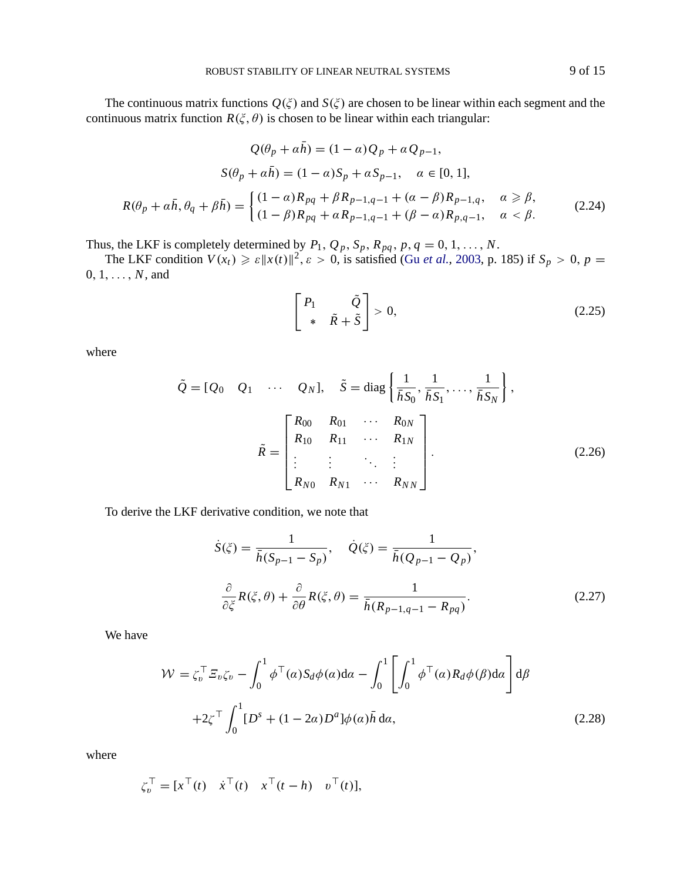<span id="page-8-0"></span>The continuous matrix functions  $Q(\xi)$  and  $S(\xi)$  are chosen to be linear within each segment and the continuous matrix function  $R(\xi, \theta)$  is chosen to be linear within each triangular:

$$
Q(\theta_p + \alpha h) = (1 - \alpha)Q_p + \alpha Q_{p-1},
$$
  
\n
$$
S(\theta_p + \alpha \bar{h}) = (1 - \alpha)S_p + \alpha S_{p-1}, \quad \alpha \in [0, 1],
$$
  
\n
$$
R(\theta_p + \alpha \bar{h}, \theta_q + \beta \bar{h}) = \begin{cases} (1 - \alpha)R_{pq} + \beta R_{p-1,q-1} + (\alpha - \beta)R_{p-1,q}, & \alpha \ge \beta, \\ (1 - \beta)R_{pq} + \alpha R_{p-1,q-1} + (\beta - \alpha)R_{p,q-1}, & \alpha < \beta. \end{cases}
$$
 (2.24)

Thus, the LKF is completely determined by  $P_1$ ,  $Q_p$ ,  $S_p$ ,  $R_{pq}$ ,  $p$ ,  $q = 0, 1, ..., N$ .

The LKF condition  $V(x_t) \ge \varepsilon ||x(t)||^2$ ,  $\varepsilon > 0$ , is satisfied (Gu *et al.*, 2003, p. 185) if  $S_p > 0$ ,  $p =$ 0, 1, . . . , *N*, and

$$
\begin{bmatrix} P_1 & \tilde{Q} \\ * & \tilde{R} + \tilde{S} \end{bmatrix} > 0,\tag{2.25}
$$

where

$$
\tilde{Q} = [Q_0 \quad Q_1 \quad \cdots \quad Q_N], \quad \tilde{S} = \text{diag}\left\{\frac{1}{\bar{h}S_0}, \frac{1}{\bar{h}S_1}, \dots, \frac{1}{\bar{h}S_N}\right\},
$$
\n
$$
\tilde{R} = \begin{bmatrix}\nR_{00} & R_{01} & \cdots & R_{0N} \\
R_{10} & R_{11} & \cdots & R_{1N} \\
\vdots & \vdots & \ddots & \vdots \\
R_{N0} & R_{N1} & \cdots & R_{NN}\n\end{bmatrix}.
$$
\n(2.26)

To derive the LKF derivative condition, we note that

$$
\dot{S}(\xi) = \frac{1}{\bar{h}(S_{p-1} - S_p)}, \quad \dot{Q}(\xi) = \frac{1}{\bar{h}(Q_{p-1} - Q_p)},
$$

$$
\frac{\partial}{\partial \xi} R(\xi, \theta) + \frac{\partial}{\partial \theta} R(\xi, \theta) = \frac{1}{\bar{h}(R_{p-1,q-1} - R_{pq})}.
$$
(2.27)

We have

$$
\mathcal{W} = \zeta_b^{\top} \mathcal{E}_v \zeta_v - \int_0^1 \phi^{\top}(\alpha) S_d \phi(\alpha) d\alpha - \int_0^1 \left[ \int_0^1 \phi^{\top}(\alpha) R_d \phi(\beta) d\alpha \right] d\beta
$$
  
+2\zeta^{\top} \int\_0^1 [D^s + (1 - 2\alpha) D^a] \phi(\alpha) \bar{h} d\alpha, (2.28)

where

$$
\zeta_b^{\top} = [x^{\top}(t) \quad \dot{x}^{\top}(t) \quad x^{\top}(t-h) \quad v^{\top}(t)],
$$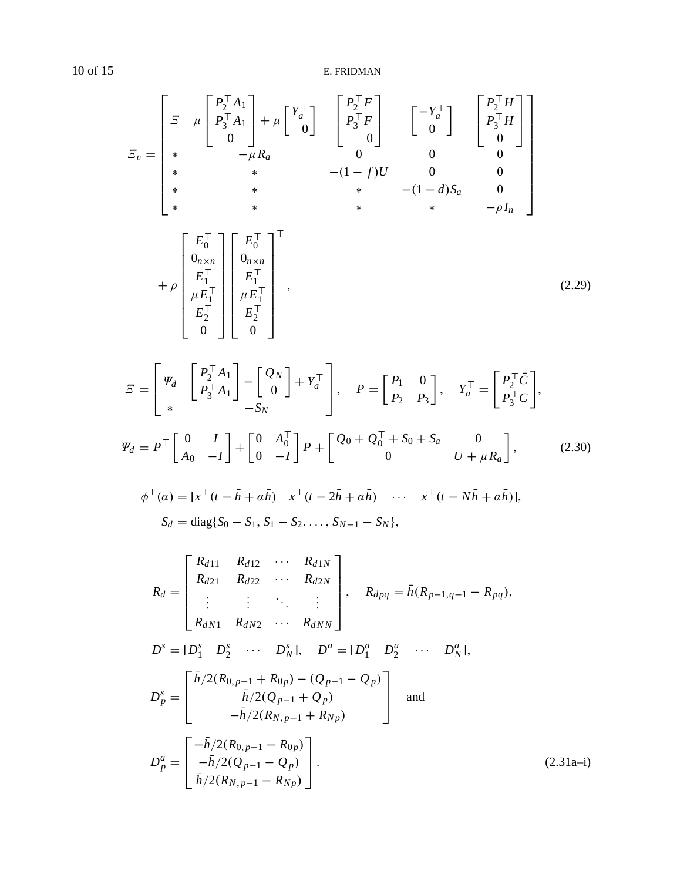$$
E_{v} = \begin{bmatrix} E & \mu \begin{bmatrix} P_{2}^{\top} A_{1} \\ P_{3}^{\top} A_{1} \\ 0 \end{bmatrix} + \mu \begin{bmatrix} Y_{a}^{\top} \\ 0 \end{bmatrix} & \begin{bmatrix} P_{2}^{\top} F \\ P_{3}^{\top} F \\ 0 \end{bmatrix} & \begin{bmatrix} -Y_{a}^{\top} \\ 0 \end{bmatrix} & \begin{bmatrix} P_{2}^{\top} H \\ P_{3}^{\top} H \\ 0 \end{bmatrix} \\ * & * & - (1 - f)U & 0 & 0 \\ * & * & * & - (1 - d)S_{a} & 0 \\ * & * & * & * & - \rho I_{n} \end{bmatrix} \\ * & \begin{bmatrix} E_{0}^{\top} \\ 0_{n \times n} \\ E_{1}^{\top} \\ E_{1}^{\top} \\ E_{2}^{\top} \\ 0 \end{bmatrix} \begin{bmatrix} E_{0}^{\top} \\ 0_{n \times n} \\ 0_{n \times n} \\ E_{2}^{\top} \\ 0 \end{bmatrix}^{\top} , \qquad (2.29)
$$

$$
\mathcal{Z} = \begin{bmatrix} \Psi_d & \begin{bmatrix} P_2^\top A_1 \\ P_3^\top A_1 \end{bmatrix} - \begin{bmatrix} Q_N \\ 0 \end{bmatrix} + Y_a^\top \\ * & -S_N \end{bmatrix}, \quad P = \begin{bmatrix} P_1 & 0 \\ P_2 & P_3 \end{bmatrix}, \quad Y_a^\top = \begin{bmatrix} P_2^\top \bar{C} \\ P_3^\top C \end{bmatrix},
$$
\n
$$
\Psi_d = P^\top \begin{bmatrix} 0 & I \\ A_0 & -I \end{bmatrix} + \begin{bmatrix} 0 & A_0^\top \\ 0 & -I \end{bmatrix} P + \begin{bmatrix} Q_0 + Q_0^\top + S_0 + S_a & 0 \\ 0 & U + \mu R_a \end{bmatrix}, \tag{2.30}
$$

$$
\phi^{\top}(\alpha) = [x^{\top}(t - \bar{h} + \alpha \bar{h}) \quad x^{\top}(t - 2\bar{h} + \alpha \bar{h}) \quad \cdots \quad x^{\top}(t - N\bar{h} + \alpha \bar{h})],
$$
  

$$
S_d = \text{diag}\{S_0 - S_1, S_1 - S_2, \ldots, S_{N-1} - S_N\},
$$

$$
R_{d} = \begin{bmatrix} R_{d11} & R_{d12} & \cdots & R_{d1N} \\ R_{d21} & R_{d22} & \cdots & R_{d2N} \\ \vdots & \vdots & \ddots & \vdots \\ R_{dN1} & R_{dN2} & \cdots & R_{dNN} \end{bmatrix}, \quad R_{dpq} = \bar{h}(R_{p-1,q-1} - R_{pq}),
$$
  
\n
$$
D^{s} = [D_{1}^{s} D_{2}^{s} & \cdots & D_{N}^{s}], \quad D^{a} = [D_{1}^{a} D_{2}^{a} & \cdots & D_{N}^{a}],
$$
  
\n
$$
D_{p}^{s} = \begin{bmatrix} \bar{h}/2(R_{0,p-1} + R_{0p}) - (Q_{p-1} - Q_{p}) \\ \bar{h}/2(Q_{p-1} + Q_{p}) \\ -\bar{h}/2(R_{N,p-1} + R_{Np}) \end{bmatrix} \text{ and}
$$
  
\n
$$
D_{p}^{a} = \begin{bmatrix} -\bar{h}/2(R_{0,p-1} - R_{0p}) \\ -\bar{h}/2(Q_{p-1} - Q_{p}) \\ \bar{h}/2(R_{N,p-1} - R_{Np}) \end{bmatrix}.
$$
 (2.31a-i)

<span id="page-9-0"></span>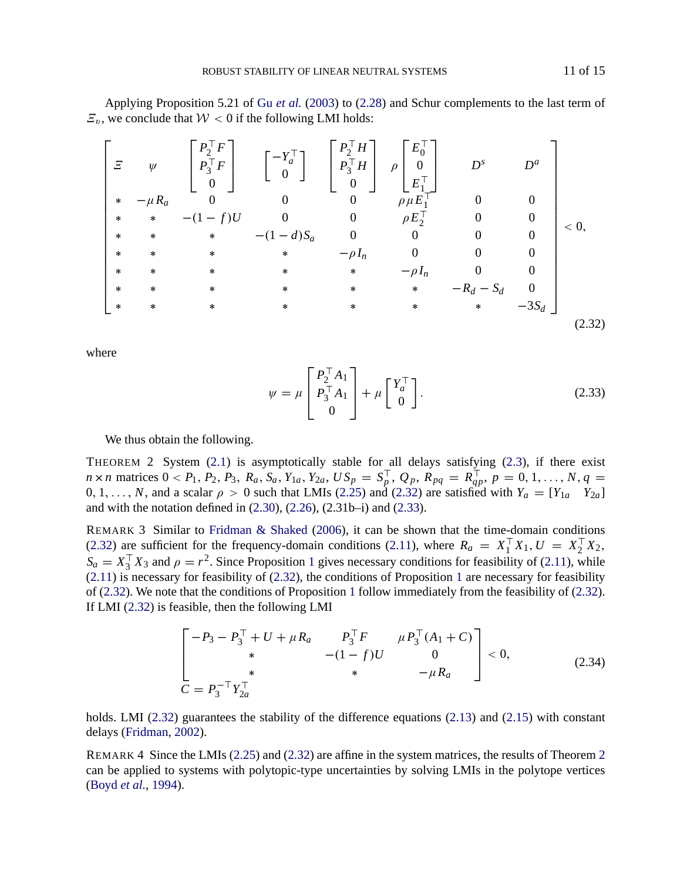<span id="page-10-0"></span>Applying Proposition 5.21 of Gu *et al.* (2003) to (2.28) and Schur complements to the last term of  $\mathcal{Z}_v$ , we conclude that  $\mathcal{W} < 0$  if the following LMI holds:

$$
\begin{bmatrix}\n\Xi & \psi & \begin{bmatrix}\nP_2^{\top}F \\
P_3^{\top}F \\
0\n\end{bmatrix} & \begin{bmatrix}\n-Y_a^{\top} \\
P_3^{\top}H \\
0\n\end{bmatrix} & \rho \begin{bmatrix}\nE_0^{\top} \\
0 \\
E_1^{\top}\n\end{bmatrix} & D^s & D^a \\
\vdots & \vdots & \ddots & \vdots \\
\ast & \ast & -(1-f)U & 0 & 0 & \rho E_2^{\top} & 0 & 0 \\
\ast & \ast & \ast & \ast & -(1-d)S_a & 0 & 0 & 0 \\
\ast & \ast & \ast & \ast & -\rho I_n & 0 & 0 & 0 \\
\ast & \ast & \ast & \ast & \ast & -\rho I_n & 0 & 0 \\
\ast & \ast & \ast & \ast & \ast & \ast & -R_d - S_d & 0 \\
\ast & \ast & \ast & \ast & \ast & \ast & \ast & -R_d - S_d & 0 \\
\ast & \ast & \ast & \ast & \ast & \ast & \ast & -3S_d\n\end{bmatrix}
$$
\n(2.32)

where

$$
\psi = \mu \begin{bmatrix} P_2^{\top} A_1 \\ P_3^{\top} A_1 \\ 0 \end{bmatrix} + \mu \begin{bmatrix} Y_a^{\top} \\ 0 \end{bmatrix}.
$$
 (2.33)

We thus obtain the following.

[THEO](#page-4-0)REM 2 System (2.1) is asymptotically stable for all delays s[ati](#page-4-0)sfying (2.3), if there exist  $n \times n$  matrices  $0 < P_1, P_2, P_3, R_a, S_a, Y_{1a}, Y_{2a}, US_p = S_p^{\perp}, Q_p, R_{pq} = R_{qp}^{\perp}, p = 0, 1, ..., N, q =$  $0, 1, \ldots, N$ , and a scalar  $\rho > 0$  such that LMIs (2.25) and (2.32) are satisfied with  $Y_a = [Y_{1a} \ Y_{2a}]$ and with the notation defined in (2.30), (2.26), (2.31b–i) and (2.33).

REMARK 3 Similar to Fridman & Shaked (2006), it can be shown that the time-domain conditions (2.32) are sufficient for the frequency-domain conditions (2.11), where  $R_a = X_1^{\perp} X_1, U = X_2^{\perp} X_2$ ,  $S_a = X_3^\top X_3$  and  $\rho = r^2$ . Since Proposition 1 gives necessary conditions for feasibility of (2.11), while  $(2.11)$  is necessary for feasibility of  $(2.32)$ , the conditions of Proposition 1 are necessary for feasibility of (2.32). We note that the conditions of Proposition 1 follow immediate[ly fro](#page-4-0)m the [feasi](#page-4-0)bility of (2.32). If LMI [\(2.32\) is](#page-13-0) f[easibl](#page-13-0)e, then the following LMI

$$
\begin{bmatrix} -P_3 - P_3^\top + U + \mu R_a & P_3^\top F & \mu P_3^\top (A_1 + C) \\ * & -(1 - f)U & 0 \\ * & * & -\mu R_a \end{bmatrix} < 0,
$$
 (2.34)

holds. LMI (2.32) guarantees the stability of the difference equations (2.13) and (2.15) with constant delays (Fridman, 2002).

REMARK 4 Since the LMIs (2.25) and (2.32) are affine in the system matrices, the results of Theorem 2 can be applied to systems with polytopic-type uncertainties by solving LMIs in the polytope vertices (Boyd *et al.*, 1994).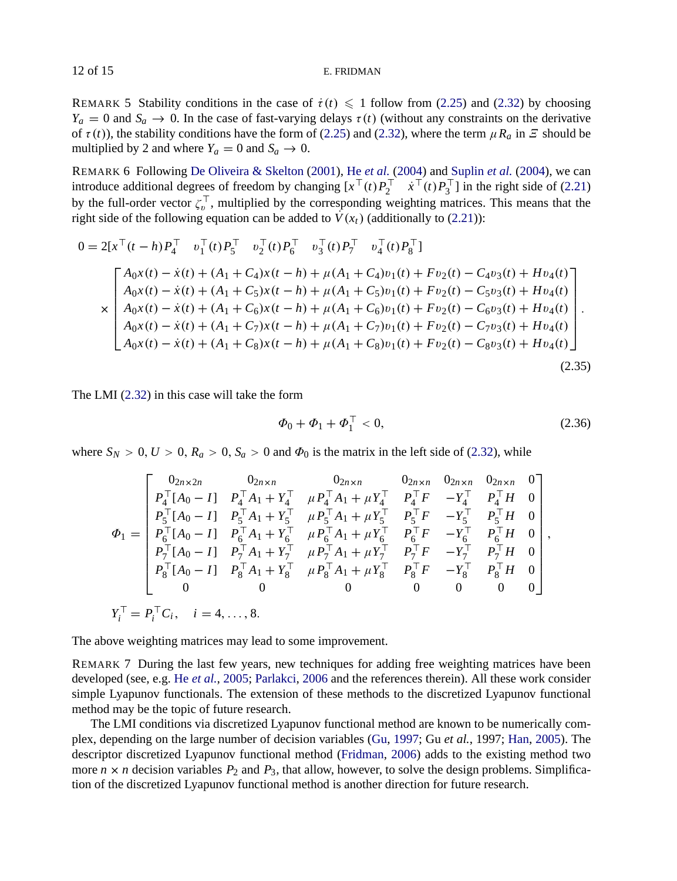REMARK 5 St[a](#page-7-0)bility conditions in the case of  $\dot{\tau}(t) \leq 1$  follow from (2.[25\)](#page-7-0) and (2.32) by choosing  $Y_a = 0$  and  $S_a \rightarrow 0$ . In the case of fast-varying delays  $\tau(t)$  (without any constraints on the derivative of  $\tau(t)$ ), the stability conditions have the form of (2.25) and (2.32), where the term  $\mu R_a$  in  $\Xi$  should be multiplied by 2 and where  $Y_a = 0$  and  $S_a \rightarrow 0$ .

REMARK 6 Following De Oliveira & Skelton (2001), He *et al.* (2004) and Suplin *et al.* (2004), we can introduce additional degrees of freedom by changing  $[x^+(t)P_2^{\dagger} \quad \dot{x}^+(t)P_3^{\dagger}]$  in the right side of (2.21) by the full-order vector  $\zeta_v^{\perp}$ , multiplied by the corresponding weighting matrices. This means that the right side of the following equation can be added to  $\dot{V}(x_t)$  (additionally to (2.21)):

$$
0 = 2[x^{T}(t-h)P_{4}^{T} \t v_{1}^{T}(t)P_{5}^{T} \t v_{2}^{T}(t)P_{6}^{T} \t v_{3}^{T}(t)P_{7}^{T} \t v_{4}^{T}(t)P_{8}^{T}]
$$
\n
$$
\times \begin{bmatrix}\nA_{0}x(t) - \dot{x}(t) + (A_{1} + C_{4})x(t-h) + \mu(A_{1} + C_{4})v_{1}(t) + Fv_{2}(t) - C_{4}v_{3}(t) + Hv_{4}(t) \\
A_{0}x(t) - \dot{x}(t) + (A_{1} + C_{5})x(t-h) + \mu(A_{1} + C_{5})v_{1}(t) + Fv_{2}(t) - C_{5}v_{3}(t) + Hv_{4}(t) \\
A_{0}x(t) - \dot{x}(t) + (A_{1} + C_{6})x(t-h) + \mu(A_{1} + C_{6})v_{1}(t) + Fv_{2}(t) - C_{6}v_{3}(t) + Hv_{4}(t) \\
A_{0}x(t) - \dot{x}(t) + (A_{1} + C_{7})x(t-h) + \mu(A_{1} + C_{7})v_{1}(t) + Fv_{2}(t) - C_{7}v_{3}(t) + Hv_{4}(t) \\
A_{0}x(t) - \dot{x}(t) + (A_{1} + C_{8})x(t-h) + \mu(A_{1} + C_{8})v_{1}(t) + Fv_{2}(t) - C_{8}v_{3}(t) + Hv_{4}(t)\n\end{bmatrix}.
$$
\n(2.35)

The LMI (2.32) in this case will take the form

$$
\Phi_0 + \Phi_1 + \Phi_1^{\top} < 0,\tag{2.36}
$$

where  $S_N > 0$ ,  $U > 0$ ,  $R_a > 0$ ,  $S_a > 0$  and  $\Phi_0$  is the matrix in the left side of (2.32), while

$$
\Phi_{1} = \begin{bmatrix}\n0_{2n \times 2n} & 0_{2n \times n} & 0_{2n \times n} & 0_{2n \times n} & 0_{2n \times n} & 0_{2n \times n} & 0_{2n \times n} \\
P_{4}^{\top} [A_{0} - I] & P_{4}^{\top} A_{1} + Y_{4}^{\top} & \mu P_{4}^{\top} A_{1} + \mu Y_{4}^{\top} & P_{4}^{\top} F & -Y_{4}^{\top} & P_{4}^{\top} H & 0 \\
P_{5}^{\top} [A_{0} - I] & P_{5}^{\top} A_{1} + Y_{5}^{\top} & \mu P_{5}^{\top} A_{1} + \mu Y_{5}^{\top} & P_{5}^{\top} F & -Y_{5}^{\top} & P_{5}^{\top} H & 0 \\
P_{6}^{\top} [A_{0} - I] & P_{6}^{\top} A_{1} + Y_{6}^{\top} & \mu P_{6}^{\top} A_{1} + \mu Y_{6}^{\top} & P_{6}^{\top} F & -Y_{6}^{\top} & P_{6}^{\top} H & 0 \\
P_{7}^{\top} [A_{0} - I] & P_{7}^{\top} A_{1} + Y_{7}^{\top} & \mu P_{7}^{\top} A_{1} + \mu Y_{7}^{\top} & P_{7}^{\top} F & -Y_{7}^{\top} & P_{7}^{\top} H & 0 \\
P_{8}^{\top} [A_{0} - I] & P_{8}^{\top} A_{1} + Y_{8}^{\top} & \mu P_{8}^{\top} A_{1} + \mu Y_{8}^{\top} & P_{8}^{\top} F & -Y_{8}^{\top} & P_{8}^{\top} H & 0 \\
0 & 0 & 0 & 0 & 0 & 0 & 0 & 0\n\end{bmatrix}
$$
\n
$$
Y_{i}^{\top} = P_{i}^{\top} C_{i}, \quad i = 4, ..., 8.
$$

The above weighting matrices may lead to some imp[rovement](#page-13-0).

REMARK 7 During the last few years, new techniques for adding free weighting matrices have been developed (see, e.g. He *et al.*, 2005; Parlakci, 2006 and the references therein). All these work consider simple Lyapunov functionals. The extension of these methods to the discretized Lyapunov functional method may be the topic of future research.

The LMI conditions via discretized Lyapunov functional method are known to be numerically complex, depending on the large number of decision variables (Gu, 1997; Gu *et al.*, 1997; Han, 2005). The descriptor discretized Lyapunov functional method (Fridman, 2006) adds to the existing method two more  $n \times n$  decision variables  $P_2$  and  $P_3$ , that allow, however, to solve the design problems. Simplification of the discretized Lyapunov functional method is another direction for future research.

<span id="page-11-0"></span>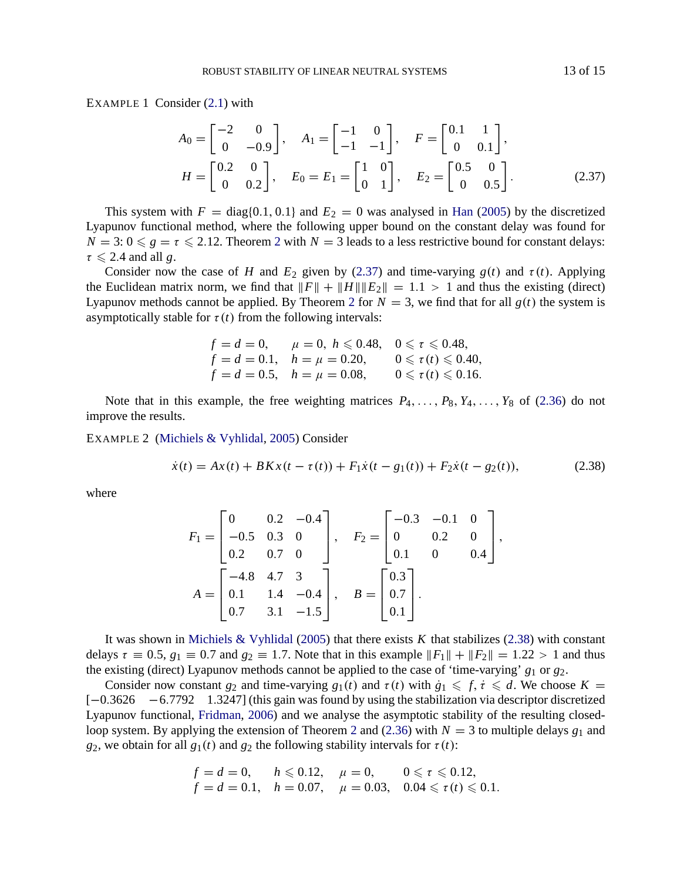EXAMPLE 1 Consider  $(2.1)$  with

$$
A_0 = \begin{bmatrix} -2 & 0 \\ 0 & -0.9 \end{bmatrix}, \quad A_1 = \begin{bmatrix} -1 & 0 \\ -1 & -1 \end{bmatrix}, \quad F = \begin{bmatrix} 0.1 & 1 \\ 0 & 0.1 \end{bmatrix},
$$
  

$$
H = \begin{bmatrix} 0.2 & 0 \\ 0 & 0.2 \end{bmatrix}, \quad E_0 = E_1 = \begin{bmatrix} 1 & 0 \\ 0 & 1 \end{bmatrix}, \quad E_2 = \begin{bmatrix} 0.5 & 0 \\ 0 & 0.5 \end{bmatrix}.
$$
 (2.37)

This system with  $F = diag\{0.1, 0.1\}$  and  $E_2 = 0$  was analysed in Han (2005) by the discretized Lyapunov functional method, where the following upper bound on the constant delay was found for  $N = 3$ :  $0 \le g = \tau \le 2.12$ . Theorem 2 with  $N = 3$  leads to a less restrictive bound for constant delays:  $\tau \leqslant 2.4$  and all *g*.

Consider now the case of *H* and  $E_2$  given by (2.37) and time-varying  $g(t)$  and  $\tau(t)$ . Applying the Euclidean matrix norm, we find that  $\|F\| + \|H\| \|E_2\| = 1.1 > 1$  and thus the ex[isting](#page-11-0) (direct) Lyapunov methods cannot be applied. By Theorem 2 for  $N = 3$ , we find that for all  $g(t)$  the system is asymptoticall[y stable for](#page-14-0)  $\tau(t)$  from t[he fol](#page-14-0)lowing intervals:

$$
f = d = 0, \quad \mu = 0, \quad h \le 0.48, \quad 0 \le \tau \le 0.48, \nf = d = 0.1, \quad h = \mu = 0.20, \quad 0 \le \tau(t) \le 0.40, \nf = d = 0.5, \quad h = \mu = 0.08, \quad 0 \le \tau(t) \le 0.16.
$$

Note that in this example, the free weighting matrices  $P_4, \ldots, P_8, Y_4, \ldots, Y_8$  of (2.36) do not improve the results.

EXAMPLE 2 (Michiels & Vyhlidal, 2005) Consider

$$
\dot{x}(t) = Ax(t) + BKx(t - \tau(t)) + F_1\dot{x}(t - g_1(t)) + F_2\dot{x}(t - g_2(t)),
$$
\n(2.38)

where

$$
F_1 = \begin{bmatrix} 0 & 0.2 & -0.4 \\ -0.5 & 0.3 & 0 \\ 0.2 & 0.7 & 0 \end{bmatrix}, \quad F_2 = \begin{bmatrix} -0.3 & -0.1 & 0 \\ 0 & 0.2 & 0 \\ 0.1 & 0 & 0.4 \end{bmatrix},
$$

$$
A = \begin{bmatrix} -4.8 & 4.7 & 3 \\ 0.1 & 1.4 & -0.4 \\ 0.7 & 3.1 & -1.5 \end{bmatrix}, \quad B = \begin{bmatrix} 0.3 \\ 0.7 \\ 0.1 \end{bmatrix}.
$$

It was shown in Michiels & Vyhlidal (2005) that there exists *K* that stabilizes (2.38) with constant delays  $\tau \equiv 0.5$ ,  $g_1 \equiv 0.7$  and  $g_2 \equiv 1.7$ . Note that in this example  $||F_1|| + ||F_2|| = 1.22 > 1$  and thus the existing (direct) Lyapunov methods cannot be applied to the case of 'time-varying' *g*<sup>1</sup> or *g*2.

Consider now constant  $g_2$  and time-varying  $g_1(t)$  and  $\tau(t)$  with  $\dot{g}_1 \leq f, \dot{\tau} \leq d$ . We choose  $K =$ [−0.3626 −6.7792 1.3247] (this gain was found by using the stabilization via descriptor discretized Lyapunov functional, Fridman, 2006) and we analyse the asymptotic stability of the resulting closedloop system. By applying the extension of Theorem 2 and (2.36) with  $N = 3$  to multiple delays  $g_1$  and *g*<sub>2</sub>, we obtain for all  $g_1(t)$  and  $g_2$  the following stability intervals for  $\tau(t)$ :

$$
f = d = 0,
$$
  $h \le 0.12,$   $\mu = 0,$   $0 \le \tau \le 0.12,$   
\n $f = d = 0.1,$   $h = 0.07,$   $\mu = 0.03,$   $0.04 \le \tau(t) \le 0.1.$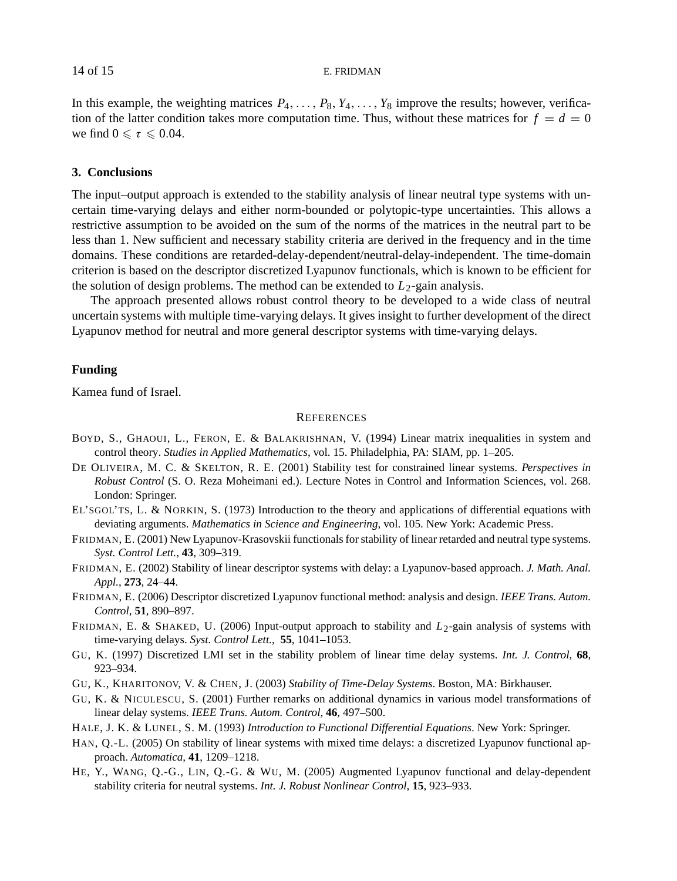<span id="page-13-0"></span>In this example, the weighting matrices  $P_4, \ldots, P_8, Y_4, \ldots, Y_8$  improve the results; however, verification of the latter condition takes more computation time. Thus, without these matrices for  $f = d = 0$ we find  $0 \le \tau \le 0.04$ .

# **3. Conclusions**

The input–output approach is extended to the stability analysis of linear neutral type systems with uncertain time-varying delays and either norm-bounded or polytopic-type uncertainties. This allows a restrictive assumption to be avoided on the sum of the norms of the matrices in the neutral part to be less than 1. New sufficient and necessary stability criteria are derived in the frequency and in the time domains. These conditions are retarded-delay-dependent/neutral-delay-independent. The time-domain criterion is based on the descriptor discretized Lyapunov functionals, which is known to be efficient for the solution of design problems. The method can be extended to  $L_2$ -gain analysis.

The approach presented allows robust control theory to be developed to a wide class of neutral uncertain systems with multiple time-varying delays. It gives insight to further development of the direct Lyapunov method for neutral and more general descriptor systems with time-varying delays.

## **Funding**

Kamea fund of Israel.

### **REFERENCES**

- BOYD, S., GHAOUI, L., FERON, E. & BALAKRISHNAN, V. (1994) Linear matrix inequalities in system and control theory. *Studies in Applied Mathematics*, vol. 15. Philadelphia, PA: SIAM, pp. 1–205.
- DE OLIVEIRA, M. C. & SKELTON, R. E. (2001) Stability test for constrained linear systems. *Perspectives in Robust Control* (S. O. Reza Moheimani ed.). Lecture Notes in Control and Information Sciences, vol. 268. London: Springer.
- EL'SGOL'TS, L. & NORKIN, S. (1973) Introduction to the theory and applications of differential equations with deviating arguments. *Mathematics in Science and Engineering*, vol. 105. New York: Academic Press.
- FRIDMAN, E. (2001) New Lyapunov-Krasovskii functionals for stability of linear retarded and neutral type systems. *Syst. Control Lett.*, **43**, 309–319.
- FRIDMAN, E. (2002) Stability of linear descriptor systems with delay: a Lyapunov-based approach. *J. Math. Anal. Appl.*, **273**, 24–44.
- FRIDMAN, E. (2006) Descriptor discretized Lyapunov functional method: analysis and design. *IEEE Trans. Autom. Control*, **51**, 890–897.
- FRIDMAN, E. & SHAKED, U. (2006) Input-output approach to stability and *L*2-gain analysis of systems with time-varying delays. *Syst. Control Lett.*, **55**, 1041–1053.
- GU, K. (1997) Discretized LMI set in the stability problem of linear time delay systems. *Int. J. Control*, **68**, 923–934.
- GU, K., KHARITONOV, V. & CHEN, J. (2003) *Stability of Time-Delay Systems*. Boston, MA: Birkhauser.
- GU, K. & NICULESCU, S. (2001) Further remarks on additional dynamics in various model transformations of linear delay systems. *IEEE Trans. Autom. Control*, **46**, 497–500.
- HALE, J. K. & LUNEL, S. M. (1993) *Introduction to Functional Differential Equations*. New York: Springer.
- HAN, Q.-L. (2005) On stability of linear systems with mixed time delays: a discretized Lyapunov functional approach. *Automatica*, **41**, 1209–1218.
- HE, Y., WANG, Q.-G., LIN, Q.-G. & WU, M. (2005) Augmented Lyapunov functional and delay-dependent stability criteria for neutral systems. *Int. J. Robust Nonlinear Control*, **15**, 923–933.